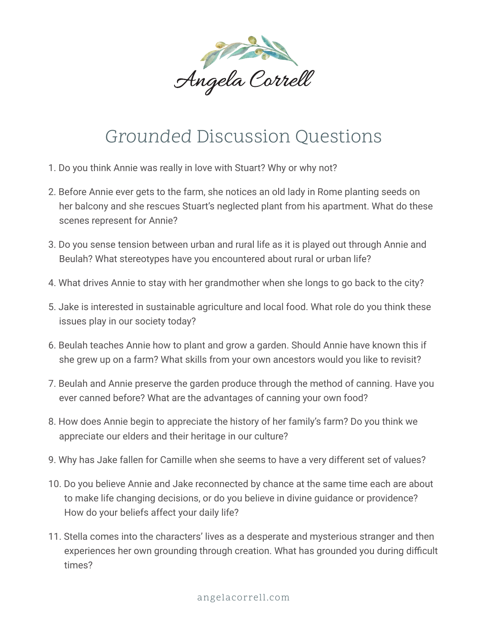

## Grounded Discussion Questions

- 1. Do you think Annie was really in love with Stuart? Why or why not?
- 2. Before Annie ever gets to the farm, she notices an old lady in Rome planting seeds on her balcony and she rescues Stuart's neglected plant from his apartment. What do these scenes represent for Annie?
- 3. Do you sense tension between urban and rural life as it is played out through Annie and Beulah? What stereotypes have you encountered about rural or urban life?
- 4. What drives Annie to stay with her grandmother when she longs to go back to the city?
- 5. Jake is interested in sustainable agriculture and local food. What role do you think these issues play in our society today?
- 6. Beulah teaches Annie how to plant and grow a garden. Should Annie have known this if she grew up on a farm? What skills from your own ancestors would you like to revisit?
- 7. Beulah and Annie preserve the garden produce through the method of canning. Have you ever canned before? What are the advantages of canning your own food?
- 8. How does Annie begin to appreciate the history of her family's farm? Do you think we appreciate our elders and their heritage in our culture?
- 9. Why has Jake fallen for Camille when she seems to have a very different set of values?
- 10. Do you believe Annie and Jake reconnected by chance at the same time each are about to make life changing decisions, or do you believe in divine guidance or providence? How do your beliefs affect your daily life?
- 11. Stella comes into the characters' lives as a desperate and mysterious stranger and then experiences her own grounding through creation. What has grounded you during difficult times?